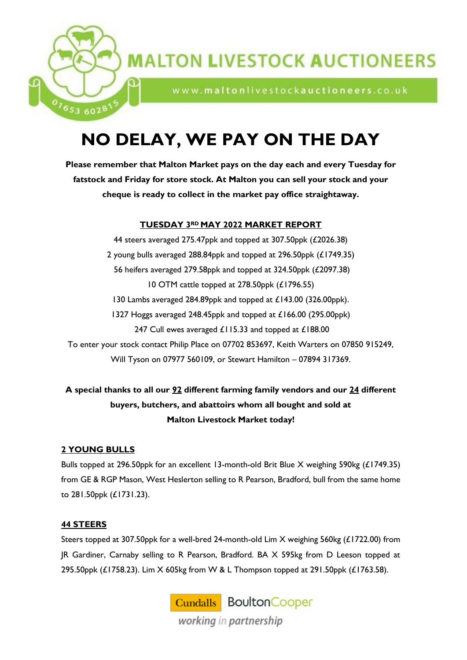

www.maltonlivestockauctioneers.co.uk

# **NO DELAY, WE PAY ON THE DAY**

**Please remember that Malton Market pays on the day each and every Tuesday for fatstock and Friday for store stock. At Malton you can sell your stock and your cheque is ready to collect in the market pay office straightaway.**

# **TUESDAY 3RD MAY 2022 MARKET REPORT**

44 steers averaged 275.47ppk and topped at 307.50ppk (£2026.38) 2 young bulls averaged 288.84ppk and topped at 296.50ppk (£1749.35) 56 heifers averaged 279.58ppk and topped at 324.50ppk (£2097.38) 10 OTM cattle topped at 278.50ppk (£1796.55) 130 Lambs averaged 284.89ppk and topped at £143.00 (326.00ppk). 1327 Hoggs averaged 248.45ppk and topped at £166.00 (295.00ppk) 247 Cull ewes averaged £115.33 and topped at £188.00 To enter your stock contact Philip Place on 07702 853697, Keith Warters on 07850 915249, Will Tyson on 07977 560109, or Stewart Hamilton – 07894 317369.

**A special thanks to all our 92 different farming family vendors and our 24 different buyers, butchers, and abattoirs whom all bought and sold at Malton Livestock Market today!** 

# **2 YOUNG BULLS**

1653 6028

Bulls topped at 296.50ppk for an excellent 13-month-old Brit Blue X weighing 590kg (£1749.35) from GE & RGP Mason, West Heslerton selling to R Pearson, Bradford, bull from the same home to 281.50ppk (£1731.23).

# **44 STEERS**

Steers topped at 307.50ppk for a well-bred 24-month-old Lim X weighing 560kg (£1722.00) from JR Gardiner, Carnaby selling to R Pearson, Bradford. BA X 595kg from D Leeson topped at 295.50ppk (£1758.23). Lim X 605kg from W & L Thompson topped at 291.50ppk (£1763.58).

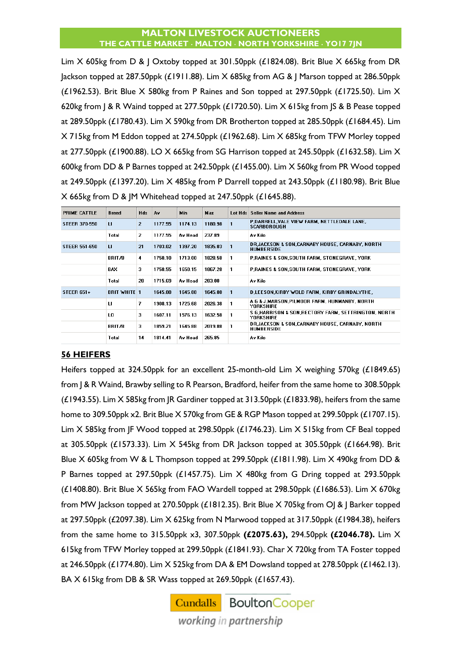Lim X 605kg from D & J Oxtoby topped at 301.50ppk (£1824.08). Brit Blue X 665kg from DR Jackson topped at 287.50ppk (£1911.88). Lim X 685kg from AG & J Marson topped at 286.50ppk (£1962.53). Brit Blue  $X$  580kg from P Raines and Son topped at 297.50ppk (£1725.50). Lim  $X$ 620kg from J & R Waind topped at 277.50ppk (£1720.50). Lim X 615kg from JS & B Pease topped at 289.50ppk (£1780.43). Lim X 590kg from DR Brotherton topped at 285.50ppk (£1684.45). Lim X 715kg from M Eddon topped at 274.50ppk (£1962.68). Lim X 685kg from TFW Morley topped at 277.50ppk (£1900.88). LO X 665kg from SG Harrison topped at 245.50ppk (£1632.58). Lim X 600kg from DD & P Barnes topped at 242.50ppk (£1455.00). Lim X 560kg from PR Wood topped at 249.50ppk (£1397.20). Lim X 485kg from P Darrell topped at 243.50ppk (£1180.98). Brit Blue X 665kg from D & JM Whitehead topped at 247.50ppk (£1645.88).

| PRIME CATTLE         | <b>Breed</b>        | <b>Hds</b>     | Á٧      | <b>Min</b> | Max     | Lot Hds | <b>Seller Name and Address</b>                                          |
|----------------------|---------------------|----------------|---------|------------|---------|---------|-------------------------------------------------------------------------|
| <b>STEER 370-550</b> | п                   | $\overline{2}$ | 1177.55 | 1174.13    | 1180.98 |         | P,DARRELL,VALE VIEW FARM, NETTLEDALE LANE,<br><b>SCARBOROUGH</b>        |
|                      | Total               | 2              | 1177.55 | Av Head    | 237.89  |         | Av Kilo                                                                 |
| <b>STEER 551-650</b> | ш                   | 21             | 1703.02 | 1397.20    | 1835.03 | 1       | DR JACKSON & SON,CARNABY HOUSE, CARNABY, NORTH<br><b>HUMBERSIDE</b>     |
|                      | BRIT/B              | 4              | 1750.10 | 1713.00    | 1828.58 | 1       | <b>P.BAINES &amp; SON.SOUTH FARM, STONEGRAVE, YORK</b>                  |
|                      | BAX                 | 3              | 1758.55 | 1650.15    | 1867.28 | 1       | <b>P.RAINES &amp; SON.SOUTH FARM, STONEGRAVE, YORK</b>                  |
|                      | Total               | 28             | 1715.69 | Av Head    | 283.08  |         | Av Kilo                                                                 |
| <b>STEER 651+</b>    | <b>BRIT WHITE 1</b> |                | 1645.88 | 1645.88    | 1645.88 | 1       | D,LEESON,KIRBY WOLD FARM, KIRBY GRINDALYTHE,                            |
|                      | п                   | 7              | 1908.13 | 1725.68    | 2026.38 |         | A G & J.MARSON.PILMOOR FARM. HUNMANBY. NORTH<br><b>YORKSHIRE</b>        |
|                      | L0                  | 3              | 1607.11 | 1576.13    | 1632.58 |         | S G.HARRISON & SON.RECTORY FARM. SETTRINGTON. NORTH<br><b>YORKSHIRE</b> |
|                      | BRIT/B              | 3              | 1859.21 | 1645.88    | 2019.88 |         | DR JACKSON & SON CARNABY HOUSE, CARNABY, NORTH<br><b>HUMBERSIDE</b>     |
|                      | Total               | 14             | 1814.41 | Av Head    | 265.85  |         | Av Kilo                                                                 |

#### **56 HEIFERS**

Heifers topped at 324.50ppk for an excellent 25-month-old Lim X weighing 570kg (£1849.65) from J & R Waind, Brawby selling to R Pearson, Bradford, heifer from the same home to 308.50ppk (£1943.55). Lim X 585kg from JR Gardiner topped at 313.50ppk (£1833.98), heifers from the same home to 309.50ppk x2. Brit Blue X 570kg from GE & RGP Mason topped at 299.50ppk (£1707.15). Lim X 585kg from JF Wood topped at 298.50ppk (£1746.23). Lim X 515kg from CF Beal topped at 305.50ppk (£1573.33). Lim X 545kg from DR Jackson topped at 305.50ppk (£1664.98). Brit Blue X 605kg from W & L Thompson topped at 299.50ppk (£1811.98). Lim X 490kg from DD & P Barnes topped at 297.50ppk (£1457.75). Lim X 480kg from G Dring topped at 293.50ppk (£1408.80). Brit Blue X 565kg from FAO Wardell topped at 298.50ppk (£1686.53). Lim X 670kg from MW Jackson topped at 270.50ppk (£1812.35). Brit Blue X 705kg from OJ & J Barker topped at 297.50ppk (£2097.38). Lim X 625kg from N Marwood topped at 317.50ppk (£1984.38), heifers from the same home to 315.50ppk x3, 307.50ppk **(£2075.63),** 294.50ppk **(£2046.78).** Lim X 615kg from TFW Morley topped at 299.50ppk (£1841.93). Char X 720kg from TA Foster topped at 246.50ppk (£1774.80). Lim X 525kg from DA & EM Dowsland topped at 278.50ppk (£1462.13). BA X 615kg from DB & SR Wass topped at 269.50ppk (£1657.43).

> **Cundalls** Boulton Cooper working in partnership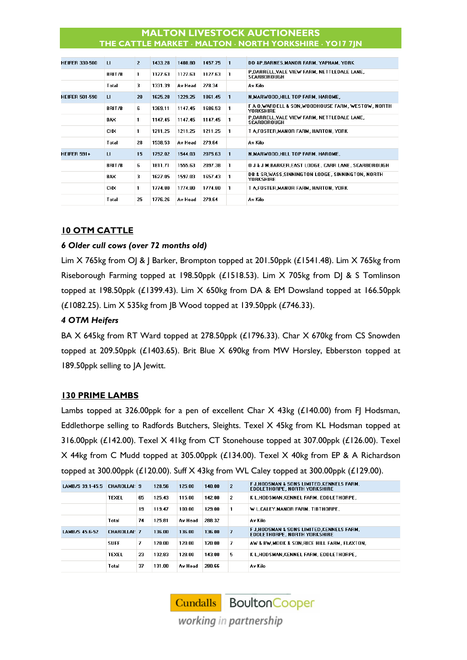| <b>HEIFER 330-500</b> | п          | $\overline{2}$ | 1433.28 | 1408.80 | 1457.75 |              | DD &P.BARNES.MANOR FARM. YAPHAM. YORK                                 |
|-----------------------|------------|----------------|---------|---------|---------|--------------|-----------------------------------------------------------------------|
|                       | BRIT/B     | 1.             | 1127.63 | 1127.63 | 1127.63 |              | P,DARRELL,VALE VIEW FARM, NETTLEDALE LANE,<br><b>SCARBOROUGH</b>      |
|                       | Total      | 3              | 1331.39 | Av Head | 278.34  |              | Av Kilo                                                               |
| <b>HEIFER 501-590</b> | u          | 20             | 1625.28 | 1229.25 | 1861.45 | 1            | N, MARWOOD, HILL TOP FARM, HAROME,                                    |
|                       | BRIT/B     | 6              | 1369.11 | 1147.45 | 1686.53 |              | F A O.WARDELL & SON.WOODHOUSE FARM. WESTOW. NORTH<br><b>YORKSHIRE</b> |
|                       | BAX        | 1.             | 1147.45 | 1147.45 | 1147.45 |              | P,DARRELL,VALE VIEW FARM, NETTLEDALE LANE,<br>SCARBOROUGH             |
|                       | <b>CHX</b> | 1.             | 1211.25 | 1211.25 | 1211.25 |              | T A FOSTER MANOR FARM, HARTON, YORK                                   |
|                       | Total      | 28             | 1538.53 | Av Head | 279.64  |              | Av Kilo                                                               |
| <b>HEIFER 591+</b>    | п          | 15             | 1792.02 | 1544.03 | 2075.63 | $\mathbf{1}$ | N,MARWOOD,HILL TOP FARM, HAROME,                                      |
|                       | BRIT/B     | 6              | 1811.71 | 1555.63 | 2097.38 | 1            | O J & J M, BARKER, EAST LODGE, CARR LANE, SCARBOROUGH                 |
|                       | BAX        | 3              | 1627.05 | 1597.03 | 1657.43 |              | DB & SR,WASS,SINNINGTON LODGE, SINNINGTON, NORTH<br><b>YORKSHIRE</b>  |
|                       | <b>CHX</b> | 1.             | 1774.80 | 1774.80 | 1774.80 | 1            | T A FOSTER MANOR FARM, HARTON, YORK                                   |
|                       | Total      | 25             | 1776.26 | Av Head | 279.64  |              | Av Kilo                                                               |

# **10 OTM CATTLE**

#### *6 Older cull cows (over 72 months old)*

Lim X 765kg from OJ & J Barker, Brompton topped at 201.50ppk (£1541.48). Lim X 765kg from Riseborough Farming topped at 198.50ppk (£1518.53). Lim X 705kg from DJ & S Tomlinson topped at 198.50ppk (£1399.43). Lim X 650kg from DA & EM Dowsland topped at 166.50ppk (£1082.25). Lim X 535kg from JB Wood topped at 139.50ppk (£746.33).

#### *4 OTM Heifers*

BA X 645kg from RT Ward topped at 278.50ppk (£1796.33). Char X 670kg from CS Snowden topped at 209.50ppk (£1403.65). Brit Blue X 690kg from MW Horsley, Ebberston topped at 189.50ppk selling to JA Jewitt.

#### **130 PRIME LAMBS**

Lambs topped at 326.00ppk for a pen of excellent Char  $X$  43kg (£140.00) from FJ Hodsman, Eddlethorpe selling to Radfords Butchers, Sleights. Texel X 45kg from KL Hodsman topped at 316.00ppk (£142.00). Texel X 41kg from CT Stonehouse topped at 307.00ppk (£126.00). Texel X 44kg from C Mudd topped at 305.00ppk (£134.00). Texel X 40kg from EP & A Richardson topped at 300.00ppk ( $E120.00$ ). Suff X 43kg from WL Caley topped at 300.00ppk ( $E129.00$ ).

| LAMB/S 39.1-45.5 | <b>CHAROLLAI: 9</b> |    | 128.56 | 125.00  | 140.00 | $\overline{2}$ | F J.HODSMAN & SONS LIMITED KENNELS FARM.<br>EDDLETHORPE, NORTH YORKSHIRE |
|------------------|---------------------|----|--------|---------|--------|----------------|--------------------------------------------------------------------------|
|                  | <b>TEXEL</b>        | 65 | 125.43 | 115.00  | 142.00 | 2              | K L.HODSMAN.KENNEL FARM, EDDLETHORPE,                                    |
|                  |                     | 19 | 119.47 | 100.00. | 129.00 |                | W L.CALEY.MANOR FARM. TIBTHORPE.                                         |
|                  | Total               | 74 | 125.81 | Av Head | 288.32 |                | Av Kilo                                                                  |
| LAMB/S 45.6-52   | <b>CHAROLLAI: 7</b> |    | 136.00 | 136.00  | 136.00 |                | F J.HODSMAN & SONS LIMITED KENNELS FARM.<br>EDDLETHORPE, NORTH YORKSHIRE |
|                  | <b>SUFF</b>         | 7  | 120.00 | 120.00  | 120.00 | 7              | AW & BW MOOK & SON RICE HILL FARM, FLAXTON,                              |
|                  | <b>TEXEL</b>        | 23 | 132.83 | 128.00  | 143.00 | 5              | K L.HODSMAN.KENNEL FARM. EDDLETHORPE.                                    |
|                  | Total               | 37 | 131.00 | Av Head | 280.66 |                | Av Kilo                                                                  |

**Cundalls** Boulton Cooper working in partnership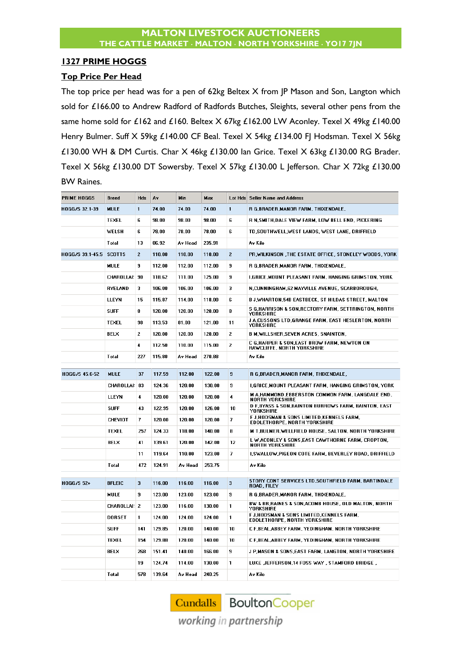#### **1327 PRIME HOGGS**

#### **Top Price Per Head**

The top price per head was for a pen of 62kg Beltex X from JP Mason and Son, Langton which sold for £166.00 to Andrew Radford of Radfords Butches, Sleights, several other pens from the same home sold for £162 and £160. Beltex X 67kg £162.00 LW Aconley. Texel X 49kg £140.00 Henry Bulmer. Suff X 59kg £140.00 CF Beal. Texel X 54kg £134.00 FJ Hodsman. Texel X 56kg £130.00 WH & DM Curtis. Char X 46kg £130.00 Ian Grice. Texel X 63kg £130.00 RG Brader. Texel X 56kg £130.00 DT Sowersby. Texel X 57kg £130.00 L Jefferson. Char X 72kg £130.00 BW Raines.

| <b>PRIME HOGGS</b>      | <b>Breed</b>      | Hds            | Å٧     | Min.    | Max    | Lot Hds        | <b>Seller Name and Address</b>                                             |
|-------------------------|-------------------|----------------|--------|---------|--------|----------------|----------------------------------------------------------------------------|
| HOGG/S 32.1-39          | MULE              | $\mathbf{1}$   | 74.00  | 74.00   | 74.00  | 1              | R G,BRADER,MANOR FARM, THIXENDALE,                                         |
|                         | <b>TEXEL</b>      | 6              | 98.00  | 98.00   | 98.00  | 6              | R N.SMITH, DALE VIEW FARM, LOW BELL END, PICKERING                         |
|                         | WELSH             | 6              | 78.00  | 78.00   | 78.00  | 6              | TD,SOUTHWELL,WEST LANDS, WEST LANE, DRIFFIELD                              |
|                         | Total             | 13             | 86.92  | Av Head | 235.91 |                | Av Kilo                                                                    |
| HOGG/S 39.1-45.5 SCOTTS |                   | $\overline{2}$ | 110.00 | 110.00  | 110.00 | $\overline{2}$ | PR, WILKINSON, THE ESTATE OFFICE, STONELEY WOODS, YORK                     |
|                         | <b>MULE</b>       | 9              | 112.00 | 112.00  | 112.00 | 9              | R G, BRADER, MANOR FARM, THIXENDALE,                                       |
|                         | <b>CHAROLLAI:</b> | 90             | 118.62 | 111.00  | 125.00 | 9              | <b>LGRICE MOUNT PLEASANT FARM. HANGING GRIMSTON, YORK</b>                  |
|                         | <b>RYELAND</b>    | 3              | 106.00 | 106.00  | 106.00 | 3              | N, CUNNINGHAM, 62 MAYVILLE AVENUE, SCARBOROUGH,                            |
|                         | LLEYN             | 15             | 115.87 | 114.00  | 118.00 | 6              | B J,WHARTON,54B EASTBECK, ST HILDAS STREET, MALTON                         |
|                         | <b>SUFF</b>       | 8              | 120.00 | 120.00  | 120.00 | 8              | S G,HARRISON & SON,RECTORY FARM, SETTRINGTON, NORTH<br><b>YORKSHIRE</b>    |
|                         | <b>TEXEL</b>      | 98             | 113.53 | 81.00   | 121.00 | 11             | J A,CUSSONS LTD,GRANGE FARM, EAST HESLERTON, NORTH<br>YORKSHIRE            |
|                         | BELX              | $\overline{2}$ | 120.00 | 120.00  | 120.00 | 2              | <b>B M, WILLSHER, SEVEN ACRES, SNAINTON,</b>                               |
|                         |                   | 4              | 112.50 | 110.00  | 115.00 | 2              | C G.HARPER & SON.EAST BROW FARM, NEWTON ON<br>RAWCLIFFE, NORTH YORKSHIRE   |
|                         | Total             | 227            | 115.80 | Av Head | 270.88 |                | Av Kilo                                                                    |
| HOGG/S 45.6-52          | <b>MULE</b>       | 37             | 117.59 | 112.00  | 122.00 | 9              | R G, BRADER, MANOR FARM, THIXENDALE,                                       |
|                         | CHAROLLAI: 83     |                | 124.36 | 120.00  | 130.00 | 9              | I,GRICE,MOUNT PLEASANT FARM, HANGING GRIMSTON, YORK                        |
|                         | LLEYN             | 4              | 120.00 | 120.00  | 120.00 | 4              | M A,HAMMOND,EBBERSTON COMMON FARM, LANGDALE END,<br><b>NORTH YORKSHIRE</b> |
|                         | <b>SUFF</b>       | 43             | 122.95 | 120.00  | 126.00 | 10             | D F,BYASS & SON,BAINTON BURROWS FARM, BAINTON, EAST<br><b>YORKSHIRE</b>    |
|                         | <b>CHEVIOT</b>    | 7              | 120.00 | 120.00  | 120.00 | 7              | F J,HODSMAN & SONS LIMITED, KENNELS FARM,<br>EDDLETHORPE, NORTH YORKSHIRE  |
|                         | <b>TEXEL</b>      | 257            | 124.33 | 118.00  | 140.00 | 8              | M T.BULMER.WELLFIELD HOUSE, SALTON, NORTH YORKSHIRE                        |
|                         | BELX              | 41             | 139.61 | 120.00  | 142.00 | 12             | L W ACONLEY & SONS EAST CAWTHORNE FARM, CROPTON,<br><b>NORTH YORKSHIRE</b> |
|                         |                   | 11             | 119.64 | 110.00  | 123.00 | 7              | I,SWALLOW,PIGEON COTE FARM, BEVERLEY ROAD, DRIFFIELD                       |
|                         | Total             | 472            | 124.91 | Av Head | 253.75 |                | Av Kilo                                                                    |
| <b>HOGG/S 52+</b>       | <b>BFLEIC</b>     | 3              | 116.00 | 116.00  | 116.00 | 3              | STORY CONT SERVICES LTD,SOUTHFIELD FARM, BARTINDALE<br>ROAD, FILEY         |
|                         | <b>MULE</b>       | 9              | 123.00 | 123.00  | 123.00 | 9              | R G.BRADER.MANOR FARM, THIXENDALE,                                         |
|                         | CHAROLLAI: 2      |                | 123.00 | 116.00  | 130.00 | 1              | BW & BR, RAINES & SON ACOMB HOUSE, OLD MALTON, NORTH<br>YORKSHIRE          |
|                         | <b>DORSET</b>     | 1              | 124.00 | 124.00  | 124.00 | 1              | F J,HODSMAN & SONS LIMITED,KENNELS FARM,<br>EDDLETHORPE, NORTH YORKSHIRE   |
|                         | <b>SUFF</b>       | 141            | 129.85 | 120.00  | 140.00 | 10             | C F,BEAL,ABBEY FARM, YEDINGHAM, NORTH YORKSHIRE                            |
|                         | <b>TEXEL</b>      | 154            | 129.88 | 120.00  | 140.00 | 10             | C F,BEAL,ABBEY FARM, YEDINGHAM, NORTH YORKSHIRE                            |
|                         | <b>BELX</b>       | 268            | 151.41 | 140.00  | 166.00 | 9              | J P.MASON & SONS.EAST FARM, LANGTON, NORTH YORKSHIRE                       |
|                         |                   | 19             | 124.74 | 114.00  | 130.00 | 1              | LUKE ,JEFFERSON,14 FOSS WAY, STAMFORD BRIDGE,                              |
|                         | Total             | 578            | 139.64 | Av Head | 240.25 |                | Av Kilo                                                                    |

**Cundalls** Boulton Cooper

working in partnership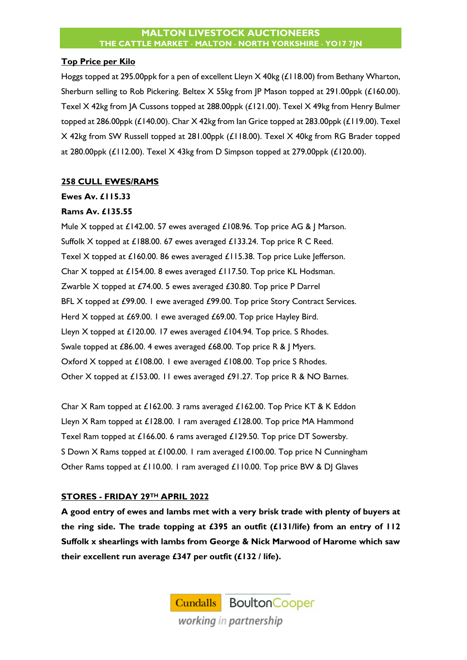#### **Top Price per Kilo**

Hoggs topped at 295.00ppk for a pen of excellent Lleyn X 40kg (£118.00) from Bethany Wharton, Sherburn selling to Rob Pickering. Beltex X 55kg from JP Mason topped at 291.00ppk (£160.00). Texel X 42kg from JA Cussons topped at 288.00ppk (£121.00). Texel X 49kg from Henry Bulmer topped at 286.00ppk (£140.00). Char X 42kg from Ian Grice topped at 283.00ppk (£119.00). Texel X 42kg from SW Russell topped at 281.00ppk (£118.00). Texel X 40kg from RG Brader topped at 280.00ppk (£112.00). Texel X 43kg from D Simpson topped at 279.00ppk (£120.00).

#### **258 CULL EWES/RAMS**

#### **Ewes Av. £115.33**

#### **Rams Av. £135.55**

Mule X topped at £142.00. 57 ewes averaged £108.96. Top price AG & J Marson. Suffolk X topped at £188.00. 67 ewes averaged £133.24. Top price R C Reed. Texel X topped at £160.00. 86 ewes averaged £115.38. Top price Luke Jefferson. Char X topped at £154.00. 8 ewes averaged £117.50. Top price KL Hodsman. Zwarble X topped at £74.00. 5 ewes averaged £30.80. Top price P Darrel BFL X topped at £99.00. I ewe averaged £99.00. Top price Story Contract Services. Herd X topped at £69.00. 1 ewe averaged £69.00. Top price Hayley Bird. Lleyn X topped at £120.00. 17 ewes averaged £104.94. Top price. S Rhodes. Swale topped at £86.00. 4 ewes averaged £68.00. Top price R & | Myers. Oxford X topped at £108.00. 1 ewe averaged £108.00. Top price S Rhodes. Other X topped at £153.00. 11 ewes averaged £91.27. Top price R & NO Barnes.

Char X Ram topped at £162.00. 3 rams averaged £162.00. Top Price KT & K Eddon Lleyn X Ram topped at £128.00. 1 ram averaged £128.00. Top price MA Hammond Texel Ram topped at £166.00. 6 rams averaged £129.50. Top price DT Sowersby. S Down X Rams topped at £100.00. 1 ram averaged £100.00. Top price N Cunningham Other Rams topped at £110.00. 1 ram averaged £110.00. Top price BW & DJ Glaves

# **STORES - FRIDAY 29TH APRIL 2022**

**A good entry of ewes and lambs met with a very brisk trade with plenty of buyers at the ring side. The trade topping at £395 an outfit (£131/life) from an entry of 112 Suffolk x shearlings with lambs from George & Nick Marwood of Harome which saw their excellent run average £347 per outfit (£132 / life).** 

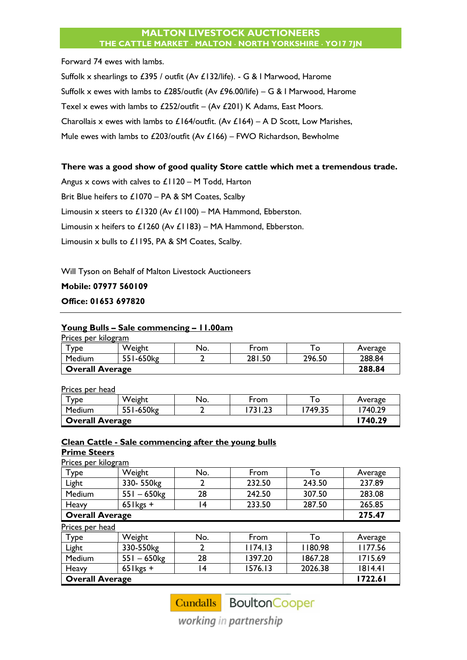Forward 74 ewes with lambs.

Suffolk x shearlings to £395 / outfit (Av £132/life). - G & I Marwood, Harome Suffolk x ewes with lambs to £285/outfit (Av £96.00/life) – G & I Marwood, Harome Texel x ewes with lambs to £252/outfit – (Av £201) K Adams, East Moors. Charollais x ewes with lambs to £164/outfit. (Av £164) – A D Scott, Low Marishes, Mule ewes with lambs to £203/outfit (Av £166) – FWO Richardson, Bewholme

#### **There was a good show of good quality Store cattle which met a tremendous trade.**

Angus x cows with calves to £1120 – M Todd, Harton Brit Blue heifers to £1070 – PA & SM Coates, Scalby Limousin x steers to £1320 (Av £1100) – MA Hammond, Ebberston. Limousin x heifers to £1260 (Av £1183) – MA Hammond, Ebberston. Limousin x bulls to £1195, PA & SM Coates, Scalby.

Will Tyson on Behalf of Malton Livestock Auctioneers

#### **Mobile: 07977 560109**

#### **Office: 01653 697820**

#### **Young Bulls – Sale commencing – 11.00am**

| Prices per kilogram |                        |     |        |        |         |  |  |
|---------------------|------------------------|-----|--------|--------|---------|--|--|
| <b>YDe</b>          | Weight                 | No. | From   | ' o    | Average |  |  |
| Medium              | 551-650kg              |     | 281.50 | 296.50 | 288.84  |  |  |
|                     | <b>Overall Average</b> |     |        |        |         |  |  |

Prices per head

| <b>YDe</b>      | Weight    | No. | From         | $\circ$ | Average |
|-----------------|-----------|-----|--------------|---------|---------|
| Medium          | 551-650kg |     | 731<br>ن ک . | 749.35  | 740.29  |
| Overall Average | 1740.29   |     |              |         |         |

#### **Clean Cattle - Sale commencing after the young bulls Prime Steers**

Prices per kilogram

| Type                   | Weight      | No. | From   | To     | Average |
|------------------------|-------------|-----|--------|--------|---------|
| Light                  | 330-550kg   |     | 232.50 | 243.50 | 237.89  |
| Medium                 | $551 - 650$ | 28  | 242.50 | 307.50 | 283.08  |
| Heavy                  | $65$ kgs +  |     | 233.50 | 287.50 | 265.85  |
| <b>Overall Average</b> | 275.47      |     |        |        |         |

|                 | <b>Overall Average</b> |     |         |         |         |  |
|-----------------|------------------------|-----|---------|---------|---------|--|
| Heavy           | $65$ l kgs +           | 4   | 1576.13 | 2026.38 | 1814.41 |  |
| Medium          | $551 - 650$ kg         | 28  | 1397.20 | 1867.28 | 1715.69 |  |
| Light           | 330-550kg              |     | 1174.13 | 1180.98 | 1177.56 |  |
| Type            | Weight                 | No. | From    | To      | Average |  |
| Prices per head |                        |     |         |         |         |  |

Cundalls BoultonCooper

working in partnership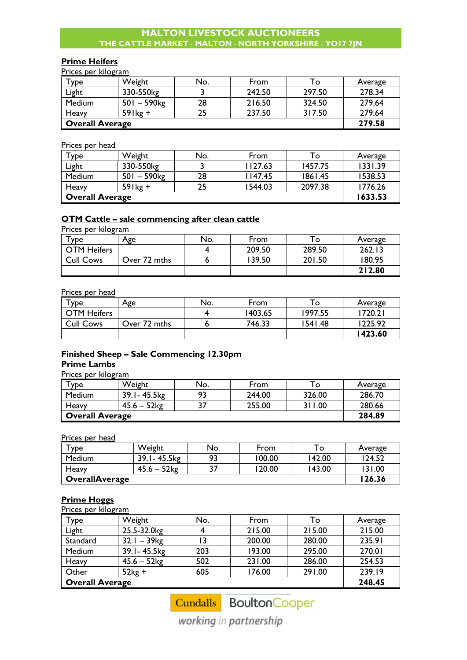#### **Prime Heifers**

Prices per kilogram

| $\mathsf{v}_{\mathsf{p} \mathsf{e} \mathsf{p}}$ | Weight                    | No. | From   | To     | Average |
|-------------------------------------------------|---------------------------|-----|--------|--------|---------|
| Light                                           | 330-550kg                 |     | 242.50 | 297.50 | 278.34  |
| Medium                                          | $501 - 590$ <sub>kg</sub> | 28  | 216.50 | 324.50 | 279.64  |
| Heavy                                           | $59$ lkg +                |     | 237.50 | 317.50 | 279.64  |
| <b>Overall Average</b>                          |                           |     |        |        | 279.58  |

#### Prices per head

| Type                   | Weight         | No. | From    | To      | Average |
|------------------------|----------------|-----|---------|---------|---------|
| Light                  | 330-550kg      |     | 1127.63 | 1457.75 | 1331.39 |
| Medium                 | $501 - 590$ kg | 28  | 147.45  | 1861.45 | 1538.53 |
| Heavy                  | $59$ lkg +     | 25  | 1544.03 | 2097.38 | 1776.26 |
| <b>Overall Average</b> |                |     |         |         | 1633.53 |

# **OTM Cattle – sale commencing after clean cattle**

Prices per kilogram

| $\tau_{\texttt{ype}}$ | Age          | No. | From   | l o    | Average |
|-----------------------|--------------|-----|--------|--------|---------|
| <b>OTM Heifers</b>    |              |     | 209.50 | 289.50 | 262.13  |
| <b>Cull Cows</b>      | Over 72 mths |     | 139.50 | 201.50 | 180.95  |
|                       |              |     |        |        | 212.80  |

#### Prices per head

| $\tau$ ype         | Age          | No. | From    | ⊤o      | Average |
|--------------------|--------------|-----|---------|---------|---------|
| <b>OTM Heifers</b> |              |     | 1403.65 | 1997.55 | 1720.21 |
| <b>Cull Cows</b>   | Over 72 mths |     | 746.33  | 1541.48 | 1225.92 |
|                    |              |     |         |         | 1423.60 |

# **Finished Sheep – Sale Commencing 12.30pm**

# **Prime Lambs**

Prices per kilogram

| $T$ vpe                | Weight         | No. | From   | To T   | Average |
|------------------------|----------------|-----|--------|--------|---------|
| Medium                 | 39.1 - 45.5 kg | 93  | 244.00 | 326.00 | 286.70  |
| Heavy                  | $45.6 - 52$ kg |     | 255.00 | 311.00 | 280.66  |
| <b>Overall Average</b> |                |     |        |        | 284.89  |

Prices per head

| $\mathbf{\tau}_{\texttt{VDe}}$ | Weight           | No. | From   | To     | Average |
|--------------------------------|------------------|-----|--------|--------|---------|
| <b>Medium</b>                  | 39.1 - 45.5 kg   | 93  | 100.00 | 142.00 | 124.52  |
| Heavy                          | . – 52kg<br>45.6 | דכ  | 120.00 | 143.00 | 131.00  |
| <b>OverallAverage</b>          |                  |     |        |        | 126.36  |

# **Prime Hoggs**

Prices per kilogram

| Type                   | Weight                    | No. | From   | То     | Average |
|------------------------|---------------------------|-----|--------|--------|---------|
| Light                  | 25.5-32.0kg               |     | 215.00 | 215.00 | 215.00  |
| Standard               | $32.1 - 39$ <sub>kg</sub> |     | 200.00 | 280.00 | 235.91  |
| Medium                 | 39.1-45.5kg               | 203 | 193.00 | 295.00 | 270.01  |
| Heavy                  | $45.6 - 52$ kg            | 502 | 231.00 | 286.00 | 254.53  |
| Other                  | $52kg +$                  | 605 | 176.00 | 291.00 | 239.19  |
| <b>Overall Average</b> |                           |     |        |        | 248.45  |

Cundalls BoultonCooper

working in partnership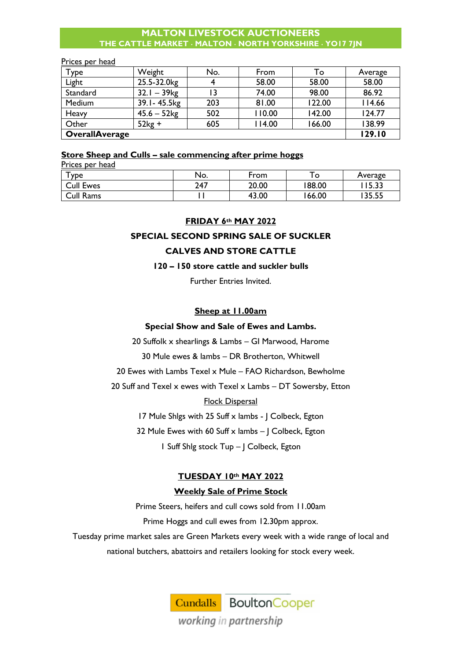#### Prices per head

| Type                  | Weight                    | No. | From   | То     | Average |
|-----------------------|---------------------------|-----|--------|--------|---------|
| Light                 | 25.5-32.0kg               |     | 58.00  | 58.00  | 58.00   |
| Standard              | $32.1 - 39$ <sub>kg</sub> |     | 74.00  | 98.00  | 86.92   |
| Medium                | 39.1 - 45.5 kg            | 203 | 81.00  | 122.00 | 114.66  |
| Heavy                 | $45.6 - 52$ kg            | 502 | 110.00 | 142.00 | 124.77  |
| Other                 | $52kg +$                  | 605 | 114.00 | 66.00  | 138.99  |
| <b>OverallAverage</b> |                           |     |        |        | 129.10  |

## **Store Sheep and Culls – sale commencing after prime hoggs**

| Prices per head  |     |       |        |         |  |  |
|------------------|-----|-------|--------|---------|--|--|
| $T$ ype          | No. | From  |        | Average |  |  |
| <b>Cull Ewes</b> | 247 | 20.00 | 188.00 | 15.33   |  |  |
| Cull Rams        |     | 43.00 | 166.00 | 135.55  |  |  |

#### **FRIDAY 6th MAY 2022**

# **SPECIAL SECOND SPRING SALE OF SUCKLER**

#### **CALVES AND STORE CATTLE**

#### **120 – 150 store cattle and suckler bulls**

Further Entries Invited.

# **Sheep at 11.00am**

#### **Special Show and Sale of Ewes and Lambs.**

20 Suffolk x shearlings & Lambs – GI Marwood, Harome

30 Mule ewes & lambs – DR Brotherton, Whitwell

20 Ewes with Lambs Texel x Mule – FAO Richardson, Bewholme

20 Suff and Texel x ewes with Texel x Lambs – DT Sowersby, Etton

# Flock Dispersal

17 Mule Shlgs with 25 Suff x lambs - J Colbeck, Egton

32 Mule Ewes with 60 Suff  $\times$  lambs  $-$  J Colbeck, Egton

1 Suff Shlg stock Tup – J Colbeck, Egton

# **TUESDAY 10th MAY 2022**

#### **Weekly Sale of Prime Stock**

Prime Steers, heifers and cull cows sold from 11.00am

Prime Hoggs and cull ewes from 12.30pm approx.

Tuesday prime market sales are Green Markets every week with a wide range of local and national butchers, abattoirs and retailers looking for stock every week.